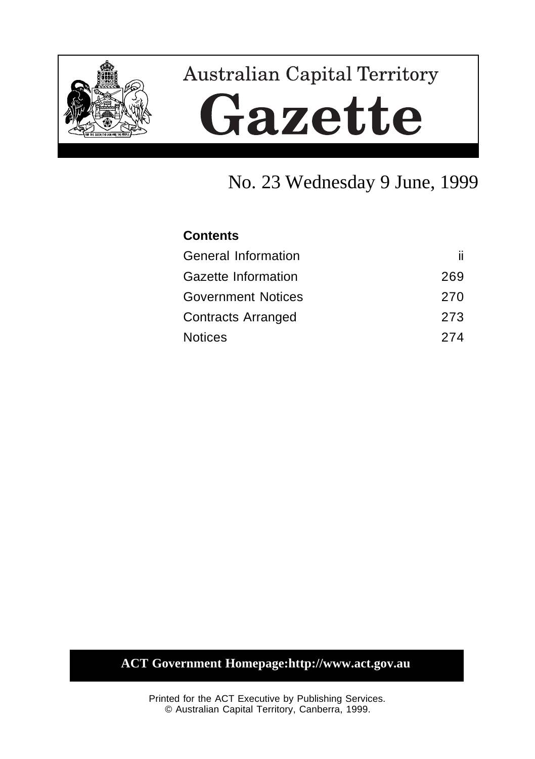

# **Australian Capital Territory** Gazette

## No. 23 Wednesday 9 June, 1999

| <b>Contents</b>            |     |
|----------------------------|-----|
| <b>General Information</b> | ii. |
| Gazette Information        | 269 |
| <b>Government Notices</b>  | 270 |
| <b>Contracts Arranged</b>  | 273 |
| <b>Notices</b>             | 274 |

## **ACT Government Homepage:http://www.act.gov.au**

Printed for the ACT Executive by Publishing Services. © Australian Capital Territory, Canberra, 1999.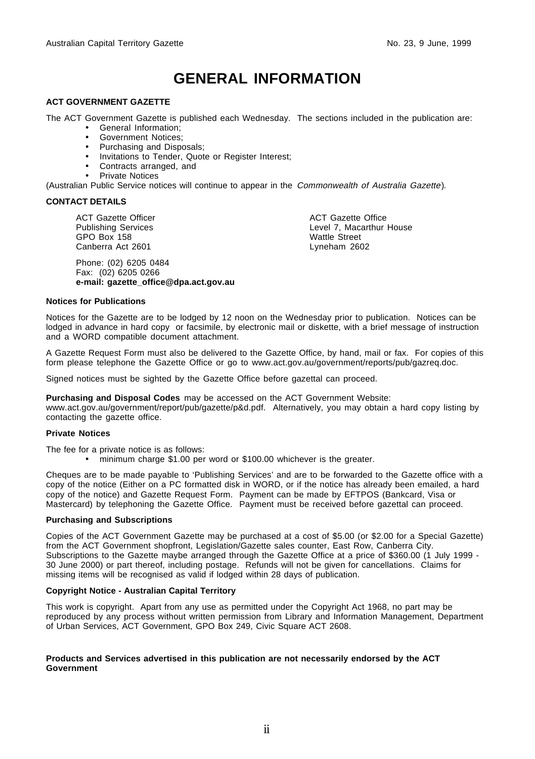## **GENERAL INFORMATION**

### **ACT GOVERNMENT GAZETTE**

The ACT Government Gazette is published each Wednesday. The sections included in the publication are:

- General Information;
- Government Notices;
- Purchasing and Disposals;
- Invitations to Tender, Quote or Register Interest;
- Contracts arranged, and
- Private Notices

(Australian Public Service notices will continue to appear in the Commonwealth of Australia Gazette).

#### **CONTACT DETAILS**

ACT Gazette Officer Publishing Services GPO Box 158 Canberra Act 2601

Phone: (02) 6205 0484 Fax: (02) 6205 0266 **e-mail: gazette\_office@dpa.act.gov.au** ACT Gazette Office Level 7, Macarthur House Wattle Street Lyneham 2602

#### **Notices for Publications**

Notices for the Gazette are to be lodged by 12 noon on the Wednesday prior to publication. Notices can be lodged in advance in hard copy or facsimile, by electronic mail or diskette, with a brief message of instruction and a WORD compatible document attachment.

A Gazette Request Form must also be delivered to the Gazette Office, by hand, mail or fax. For copies of this form please telephone the Gazette Office or go to www.act.gov.au/government/reports/pub/gazreq.doc.

Signed notices must be sighted by the Gazette Office before gazettal can proceed.

**Purchasing and Disposal Codes** may be accessed on the ACT Government Website:

www.act.gov.au/government/report/pub/gazette/p&d.pdf. Alternatively, you may obtain a hard copy listing by contacting the gazette office.

#### **Private Notices**

The fee for a private notice is as follows:

• minimum charge \$1.00 per word or \$100.00 whichever is the greater.

Cheques are to be made payable to 'Publishing Services' and are to be forwarded to the Gazette office with a copy of the notice (Either on a PC formatted disk in WORD, or if the notice has already been emailed, a hard copy of the notice) and Gazette Request Form. Payment can be made by EFTPOS (Bankcard, Visa or Mastercard) by telephoning the Gazette Office. Payment must be received before gazettal can proceed.

#### **Purchasing and Subscriptions**

Copies of the ACT Government Gazette may be purchased at a cost of \$5.00 (or \$2.00 for a Special Gazette) from the ACT Government shopfront, Legislation/Gazette sales counter, East Row, Canberra City. Subscriptions to the Gazette maybe arranged through the Gazette Office at a price of \$360.00 (1 July 1999 - 30 June 2000) or part thereof, including postage. Refunds will not be given for cancellations. Claims for missing items will be recognised as valid if lodged within 28 days of publication.

#### **Copyright Notice - Australian Capital Territory**

This work is copyright. Apart from any use as permitted under the Copyright Act 1968, no part may be reproduced by any process without written permission from Library and Information Management, Department of Urban Services, ACT Government, GPO Box 249, Civic Square ACT 2608.

#### **Products and Services advertised in this publication are not necessarily endorsed by the ACT Government**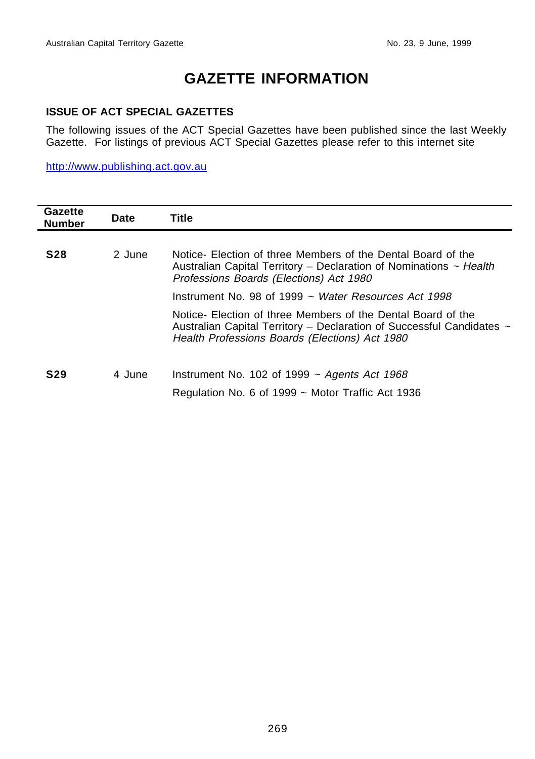## **GAZETTE INFORMATION**

## **ISSUE OF ACT SPECIAL GAZETTES**

The following issues of the ACT Special Gazettes have been published since the last Weekly Gazette. For listings of previous ACT Special Gazettes please refer to this internet site

http://www.publishing.act.gov.au

| Gazette<br><b>Number</b> | <b>Date</b> | Title                                                                                                                                                                                   |
|--------------------------|-------------|-----------------------------------------------------------------------------------------------------------------------------------------------------------------------------------------|
|                          |             |                                                                                                                                                                                         |
| <b>S28</b>               | 2 June      | Notice- Election of three Members of the Dental Board of the<br>Australian Capital Territory – Declaration of Nominations $\sim$ Health<br>Professions Boards (Elections) Act 1980      |
|                          |             | Instrument No. 98 of 1999 ~ Water Resources Act 1998                                                                                                                                    |
|                          |             | Notice- Election of three Members of the Dental Board of the<br>Australian Capital Territory – Declaration of Successful Candidates ~<br>Health Professions Boards (Elections) Act 1980 |
| S <sub>29</sub>          | 4 June      | Instrument No. 102 of 1999 $\sim$ Agents Act 1968                                                                                                                                       |
|                          |             | Regulation No. 6 of 1999 $\sim$ Motor Traffic Act 1936                                                                                                                                  |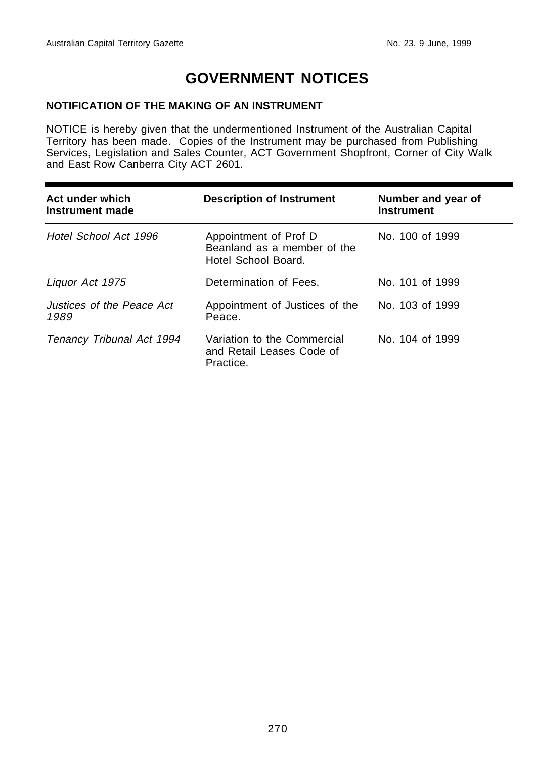## **GOVERNMENT NOTICES**

## **NOTIFICATION OF THE MAKING OF AN INSTRUMENT**

NOTICE is hereby given that the undermentioned Instrument of the Australian Capital Territory has been made. Copies of the Instrument may be purchased from Publishing Services, Legislation and Sales Counter, ACT Government Shopfront, Corner of City Walk and East Row Canberra City ACT 2601.

| Act under which<br>Instrument made | <b>Description of Instrument</b>                                            | Number and year of<br><b>Instrument</b> |
|------------------------------------|-----------------------------------------------------------------------------|-----------------------------------------|
| Hotel School Act 1996              | Appointment of Prof D<br>Beanland as a member of the<br>Hotel School Board. | No. 100 of 1999                         |
| Liquor Act 1975                    | Determination of Fees.                                                      | No. 101 of 1999                         |
| Justices of the Peace Act<br>1989  | Appointment of Justices of the<br>Peace.                                    | No. 103 of 1999                         |
| Tenancy Tribunal Act 1994          | Variation to the Commercial<br>and Retail Leases Code of<br>Practice.       | No. 104 of 1999                         |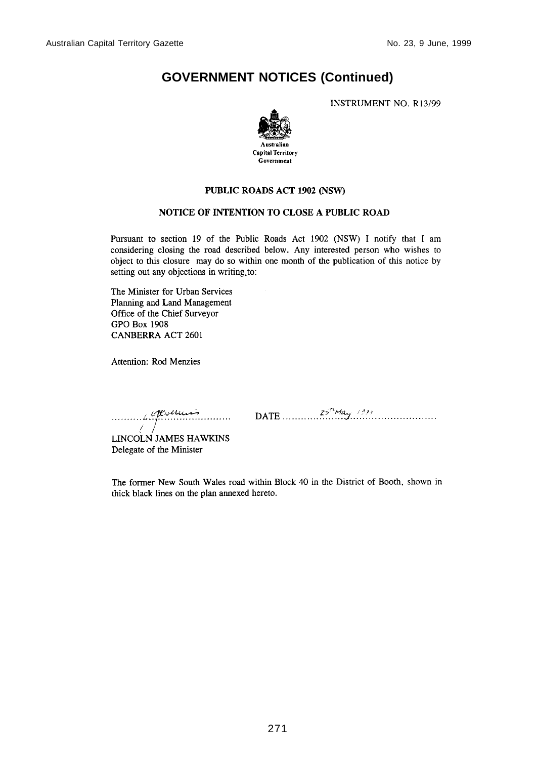## **GOVERNMENT NOTICES (Continued)**

**INSTRUMENT NO. R13/99** 



#### PUBLIC ROADS ACT 1902 (NSW)

### NOTICE OF INTENTION TO CLOSE A PUBLIC ROAD

Pursuant to section 19 of the Public Roads Act 1902 (NSW) I notify that I am considering closing the road described below. Any interested person who wishes to object to this closure may do so within one month of the publication of this notice by setting out any objections in writing to:

The Minister for Urban Services Planning and Land Management Office of the Chief Surveyor **GPO Box 1908 CANBERRA ACT 2601** 

Attention: Rod Menzies

 $O(1)$   $O(1)$   $O(1)$   $O(1)$   $O(1)$   $O(1)$   $O(1)$   $O(1)$   $O(1)$   $O(1)$   $O(1)$   $O(1)$   $O(1)$   $O(1)$   $O(1)$   $O(1)$   $O(1)$   $O(1)$   $O(1)$   $O(1)$   $O(1)$   $O(1)$   $O(1)$   $O(1)$   $O(1)$   $O(1)$   $O(1)$   $O(1)$   $O(1)$   $O(1)$   $O(1)$   $O(1$ 

LINCOLN JAMES HAWKINS Delegate of the Minister

The former New South Wales road within Block 40 in the District of Booth, shown in thick black lines on the plan annexed hereto.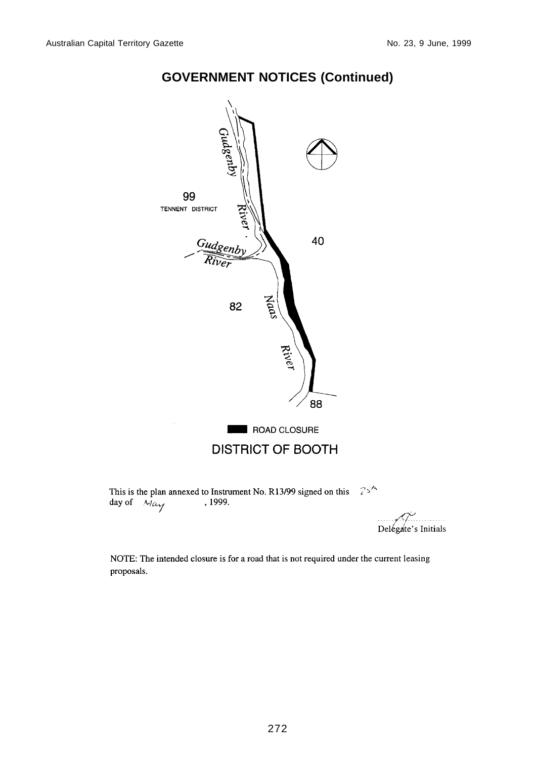

## **GOVERNMENT NOTICES (Continued)**

This is the plan annexed to Instrument No. R13/99 signed on this  $25^{74}$ day of May , 1999.

Delegate's Initials

NOTE: The intended closure is for a road that is not required under the current leasing proposals.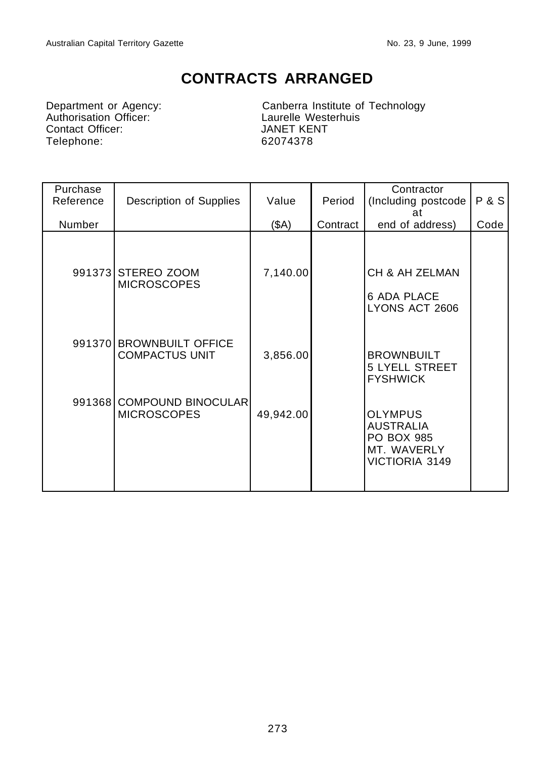## **CONTRACTS ARRANGED**

Department or Agency:<br>
Authorisation Officer:<br>
Contact Officer:<br>
Contact Officer:<br>
JANET KENT Contact Officer: JANET KENT Telephone:

Canberra Institute of Technology

| Purchase<br>Reference | Description of Supplies                           | Value     | Period   | Contractor<br>(Including postcode                                                 | <b>P&amp;S</b> |
|-----------------------|---------------------------------------------------|-----------|----------|-----------------------------------------------------------------------------------|----------------|
|                       |                                                   |           |          | at                                                                                |                |
| Number                |                                                   | (SA)      | Contract | end of address)                                                                   | Code           |
|                       | 991373 STEREO ZOOM<br><b>MICROSCOPES</b>          | 7,140.00  |          | CH & AH ZELMAN<br>6 ADA PLACE                                                     |                |
|                       | 991370 BROWNBUILT OFFICE<br><b>COMPACTUS UNIT</b> | 3,856.00  |          | LYONS ACT 2606<br><b>BROWNBUILT</b><br><b>5 LYELL STREET</b><br><b>FYSHWICK</b>   |                |
|                       | 991368 COMPOUND BINOCULAR<br><b>MICROSCOPES</b>   | 49,942.00 |          | <b>OLYMPUS</b><br>AUSTRALIA<br>PO BOX 985<br>MT. WAVERLY<br><b>VICTIORIA 3149</b> |                |